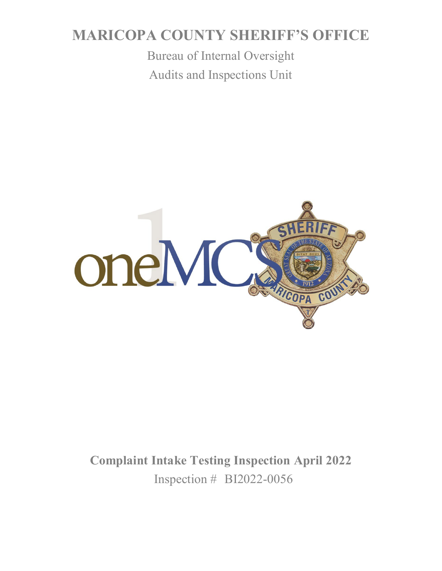# **MARICOPA COUNTY SHERIFF'S OFFICE**

Bureau of Internal Oversight Audits and Inspections Unit



**Complaint Intake Testing Inspection April 2022** Inspection # BI2022-0056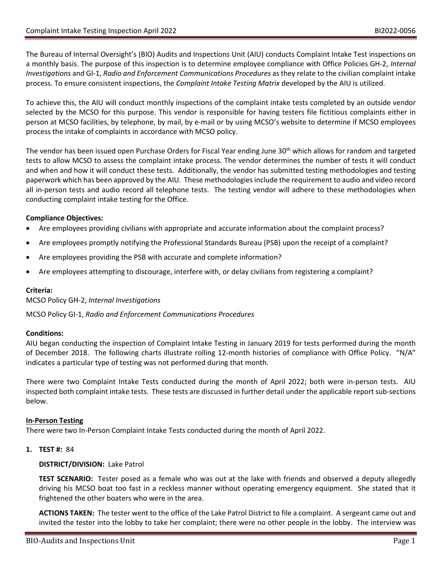The Bureau of Internal Oversight's (BIO) Audits and Inspections Unit (AIU) conducts Complaint Intake Test inspections on a monthly basis. The purpose of this inspection is to determine employee compliance with Office Policies GH-2, *Internal Investigations* and GI-1, *Radio and Enforcement Communications Procedures* as they relate to the civilian complaint intake process. To ensure consistent inspections, the *Complaint Intake Testing Matrix* developed by the AIU is utilized.

To achieve this, the AIU will conduct monthly inspections of the complaint intake tests completed by an outside vendor selected by the MCSO for this purpose. This vendor is responsible for having testers file fictitious complaints either in person at MCSO facilities, by telephone, by mail, by e-mail or by using MCSO's website to determine if MCSO employees process the intake of complaints in accordance with MCSO policy.

The vendor has been issued open Purchase Orders for Fiscal Year ending June 30<sup>th</sup> which allows for random and targeted tests to allow MCSO to assess the complaint intake process. The vendor determines the number of tests it will conduct and when and how it will conduct these tests. Additionally, the vendor has submitted testing methodologies and testing paperwork which has been approved by the AIU. These methodologies include the requirement to audio and video record all in-person tests and audio record all telephone tests. The testing vendor will adhere to these methodologies when conducting complaint intake testing for the Office.

# **Compliance Objectives:**

- Are employees providing civilians with appropriate and accurate information about the complaint process?
- Are employees promptly notifying the Professional Standards Bureau (PSB) upon the receipt of a complaint?
- Are employees providing the PSB with accurate and complete information?
- Are employees attempting to discourage, interfere with, or delay civilians from registering a complaint?

# **Criteria:**

MCSO Policy GH-2, *Internal Investigations*

MCSO Policy GI-1, *Radio and Enforcement Communications Procedures*

# **Conditions:**

AIU began conducting the inspection of Complaint Intake Testing in January 2019 for tests performed during the month of December 2018. The following charts illustrate rolling 12-month histories of compliance with Office Policy. "N/A" indicates a particular type of testing was not performed during that month.

There were two Complaint Intake Tests conducted during the month of April 2022; both were in-person tests. AIU inspected both complaint intake tests. These tests are discussed in further detail under the applicable report sub-sections below.

# **In-Person Testing**

There were two In-Person Complaint Intake Tests conducted during the month of April 2022.

**1. TEST #:** 84

# **DISTRICT/DIVISION:** Lake Patrol

**TEST SCENARIO:** Tester posed as a female who was out at the lake with friends and observed a deputy allegedly driving his MCSO boat too fast in a reckless manner without operating emergency equipment. She stated that it frightened the other boaters who were in the area.

**ACTIONS TAKEN:** The tester went to the office of the Lake Patrol District to file a complaint. A sergeant came out and invited the tester into the lobby to take her complaint; there were no other people in the lobby. The interview was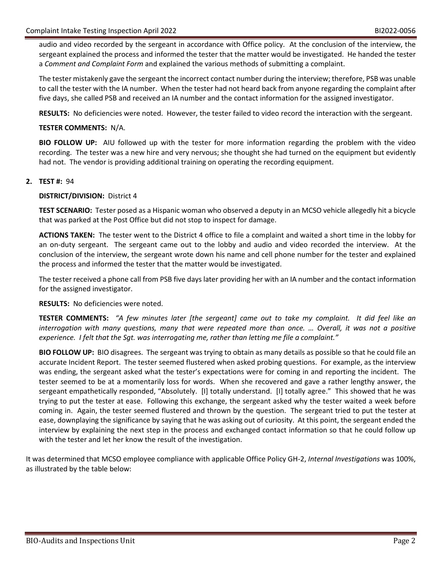audio and video recorded by the sergeant in accordance with Office policy. At the conclusion of the interview, the sergeant explained the process and informed the tester that the matter would be investigated. He handed the tester a *Comment and Complaint Form* and explained the various methods of submitting a complaint.

The tester mistakenly gave the sergeant the incorrect contact number during the interview; therefore, PSB was unable to call the tester with the IA number. When the tester had not heard back from anyone regarding the complaint after five days, she called PSB and received an IA number and the contact information for the assigned investigator.

**RESULTS:** No deficiencies were noted. However, the tester failed to video record the interaction with the sergeant.

## **TESTER COMMENTS:** N/A.

**BIO FOLLOW UP:** AIU followed up with the tester for more information regarding the problem with the video recording. The tester was a new hire and very nervous; she thought she had turned on the equipment but evidently had not. The vendor is providing additional training on operating the recording equipment.

## **2. TEST #:** 94

## **DISTRICT/DIVISION:** District 4

**TEST SCENARIO:** Tester posed as a Hispanic woman who observed a deputy in an MCSO vehicle allegedly hit a bicycle that was parked at the Post Office but did not stop to inspect for damage.

**ACTIONS TAKEN:** The tester went to the District 4 office to file a complaint and waited a short time in the lobby for an on-duty sergeant. The sergeant came out to the lobby and audio and video recorded the interview. At the conclusion of the interview, the sergeant wrote down his name and cell phone number for the tester and explained the process and informed the tester that the matter would be investigated.

The tester received a phone call from PSB five days later providing her with an IA number and the contact information for the assigned investigator.

#### **RESULTS:** No deficiencies were noted.

**TESTER COMMENTS:** *"A few minutes later [the sergeant] came out to take my complaint. It did feel like an interrogation with many questions, many that were repeated more than once. … Overall, it was not a positive experience. I felt that the Sgt. was interrogating me, rather than letting me file a complaint."*

**BIO FOLLOW UP:** BIO disagrees. The sergeant was trying to obtain as many details as possible so that he could file an accurate Incident Report. The tester seemed flustered when asked probing questions. For example, as the interview was ending, the sergeant asked what the tester's expectations were for coming in and reporting the incident. The tester seemed to be at a momentarily loss for words. When she recovered and gave a rather lengthy answer, the sergeant empathetically responded, "Absolutely. [I] totally understand. [I] totally agree." This showed that he was trying to put the tester at ease. Following this exchange, the sergeant asked why the tester waited a week before coming in. Again, the tester seemed flustered and thrown by the question. The sergeant tried to put the tester at ease, downplaying the significance by saying that he was asking out of curiosity. At this point, the sergeant ended the interview by explaining the next step in the process and exchanged contact information so that he could follow up with the tester and let her know the result of the investigation.

It was determined that MCSO employee compliance with applicable Office Policy GH-2, *Internal Investigations* was 100%, as illustrated by the table below: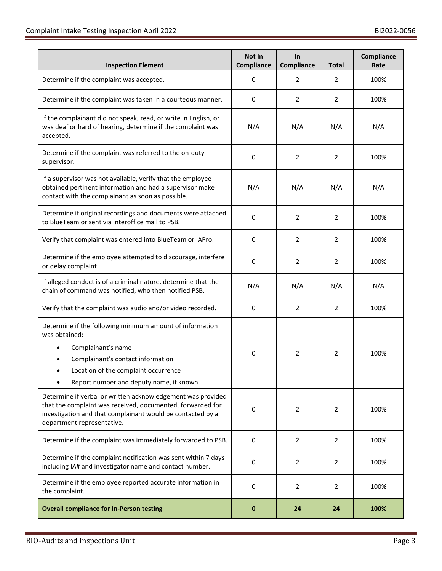| <b>Inspection Element</b>                                                                                                                                                                                               | Not In<br>Compliance | In<br><b>Compliance</b> | <b>Total</b>   | Compliance<br>Rate |
|-------------------------------------------------------------------------------------------------------------------------------------------------------------------------------------------------------------------------|----------------------|-------------------------|----------------|--------------------|
| Determine if the complaint was accepted.                                                                                                                                                                                | 0                    | 2                       | 2              | 100%               |
| Determine if the complaint was taken in a courteous manner.                                                                                                                                                             | 0                    | 2                       | 2              | 100%               |
| If the complainant did not speak, read, or write in English, or<br>was deaf or hard of hearing, determine if the complaint was<br>accepted.                                                                             | N/A                  | N/A                     | N/A            | N/A                |
| Determine if the complaint was referred to the on-duty<br>supervisor.                                                                                                                                                   | 0                    | $\overline{2}$          | $\overline{2}$ | 100%               |
| If a supervisor was not available, verify that the employee<br>obtained pertinent information and had a supervisor make<br>contact with the complainant as soon as possible.                                            | N/A                  | N/A                     | N/A            | N/A                |
| Determine if original recordings and documents were attached<br>to BlueTeam or sent via interoffice mail to PSB.                                                                                                        | 0                    | $\overline{2}$          | $\overline{2}$ | 100%               |
| Verify that complaint was entered into BlueTeam or IAPro.                                                                                                                                                               | 0                    | $\overline{2}$          | $\overline{2}$ | 100%               |
| Determine if the employee attempted to discourage, interfere<br>or delay complaint.                                                                                                                                     | 0                    | $\overline{2}$          | 2              | 100%               |
| If alleged conduct is of a criminal nature, determine that the<br>chain of command was notified, who then notified PSB.                                                                                                 | N/A                  | N/A                     | N/A            | N/A                |
| Verify that the complaint was audio and/or video recorded.                                                                                                                                                              | 0                    | $\overline{2}$          | $\overline{2}$ | 100%               |
| Determine if the following minimum amount of information<br>was obtained:<br>Complainant's name<br>Complainant's contact information<br>Location of the complaint occurrence<br>Report number and deputy name, if known | 0                    | $\overline{2}$          | 2              | 100%               |
| Determine if verbal or written acknowledgement was provided<br>that the complaint was received, documented, forwarded for<br>investigation and that complainant would be contacted by a<br>department representative.   | 0                    | $\overline{2}$          | $\overline{2}$ | 100%               |
| Determine if the complaint was immediately forwarded to PSB.                                                                                                                                                            | 0                    | 2                       | 2              | 100%               |
| Determine if the complaint notification was sent within 7 days<br>including IA# and investigator name and contact number.                                                                                               | 0                    | $\overline{2}$          | $\overline{2}$ | 100%               |
| Determine if the employee reported accurate information in<br>the complaint.                                                                                                                                            | 0                    | 2                       | 2              | 100%               |
| <b>Overall compliance for In-Person testing</b>                                                                                                                                                                         | 0                    | 24                      | 24             | 100%               |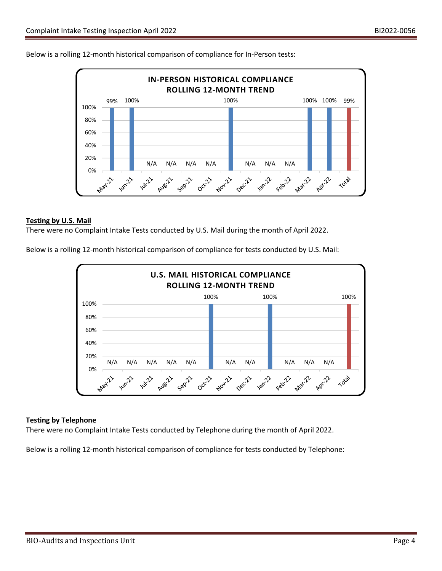



## **Testing by U.S. Mail**

There were no Complaint Intake Tests conducted by U.S. Mail during the month of April 2022.

Below is a rolling 12-month historical comparison of compliance for tests conducted by U.S. Mail:



# **Testing by Telephone**

There were no Complaint Intake Tests conducted by Telephone during the month of April 2022.

Below is a rolling 12-month historical comparison of compliance for tests conducted by Telephone: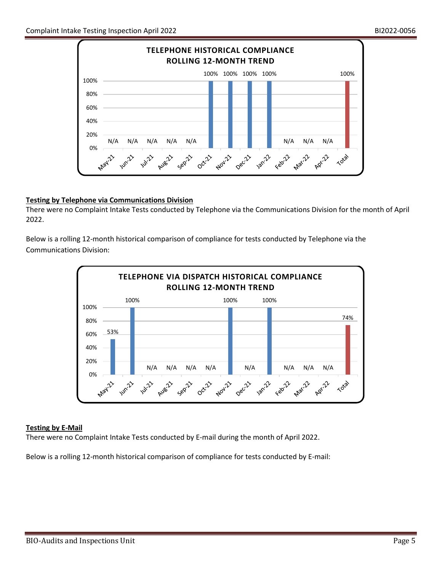

# **Testing by Telephone via Communications Division**

There were no Complaint Intake Tests conducted by Telephone via the Communications Division for the month of April 2022.

Below is a rolling 12-month historical comparison of compliance for tests conducted by Telephone via the Communications Division:



# **Testing by E-Mail**

There were no Complaint Intake Tests conducted by E-mail during the month of April 2022.

Below is a rolling 12-month historical comparison of compliance for tests conducted by E-mail: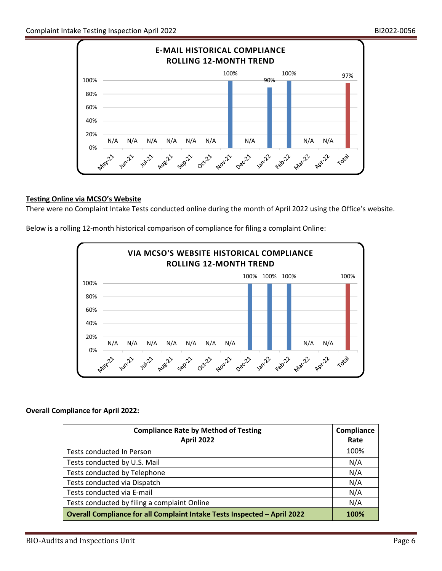

# **Testing Online via MCSO's Website**

There were no Complaint Intake Tests conducted online during the month of April 2022 using the Office's website.

Below is a rolling 12-month historical comparison of compliance for filing a complaint Online:



#### **Overall Compliance for April 2022:**

| <b>Compliance Rate by Method of Testing</b><br><b>April 2022</b>         | Compliance<br>Rate |
|--------------------------------------------------------------------------|--------------------|
| Tests conducted In Person                                                | 100%               |
| Tests conducted by U.S. Mail                                             | N/A                |
| Tests conducted by Telephone                                             | N/A                |
| Tests conducted via Dispatch                                             | N/A                |
| Tests conducted via E-mail                                               | N/A                |
| Tests conducted by filing a complaint Online                             | N/A                |
| Overall Compliance for all Complaint Intake Tests Inspected - April 2022 |                    |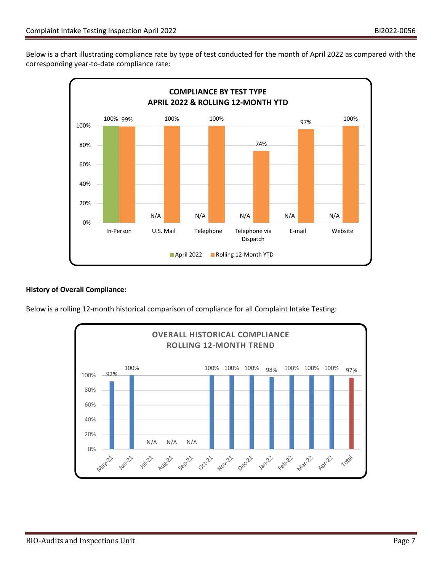Below is a chart illustrating compliance rate by type of test conducted for the month of April 2022 as compared with the corresponding year-to-date compliance rate:



# **History of Overall Compliance:**

Below is a rolling 12-month historical comparison of compliance for all Complaint Intake Testing: